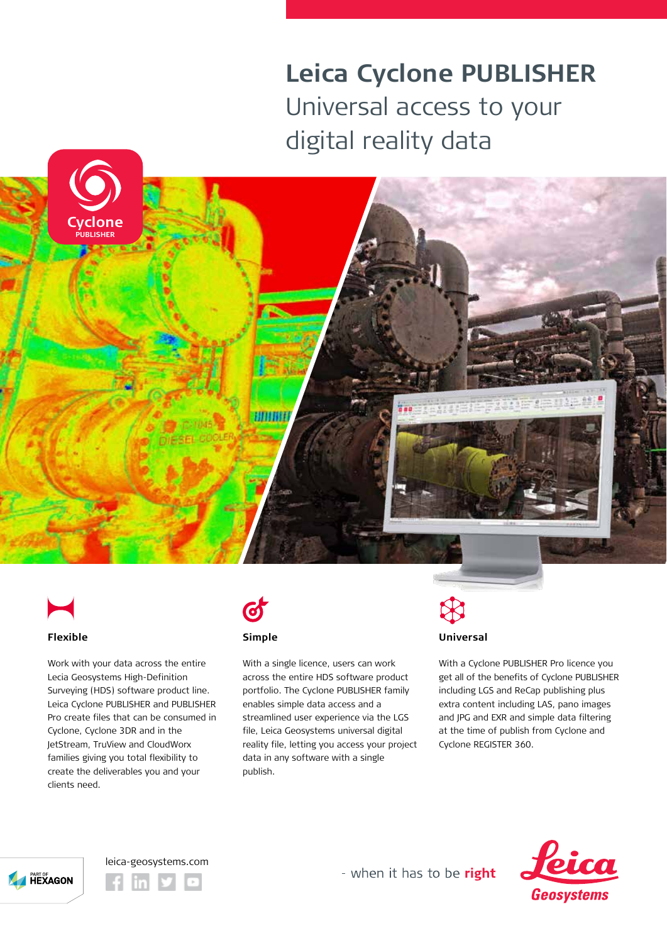## **Leica Cyclone PUBLISHER** Universal access to your digital reality data





#### **Flexible**

Work with your data across the entire Lecia Geosystems High-Definition Surveying (HDS) software product line. Leica Cyclone PUBLISHER and PUBLISHER Pro create files that can be consumed in Cyclone, Cyclone 3DR and in the JetStream, TruView and CloudWorx families giving you total flexibility to create the deliverables you and your clients need.



#### **Simple**

With a single licence, users can work across the entire HDS software product portfolio. The Cyclone PUBLISHER family enables simple data access and a streamlined user experience via the LGS file, Leica Geosystems universal digital reality file, letting you access your project data in any software with a single publish.

# **Universal**

With a Cyclone PUBLISHER Pro licence you get all of the benefits of Cyclone PUBLISHER including LGS and ReCap publishing plus extra content including LAS, pano images and JPG and EXR and simple data filtering at the time of publish from Cyclone and Cyclone REGISTER 360.





- when it has to be right